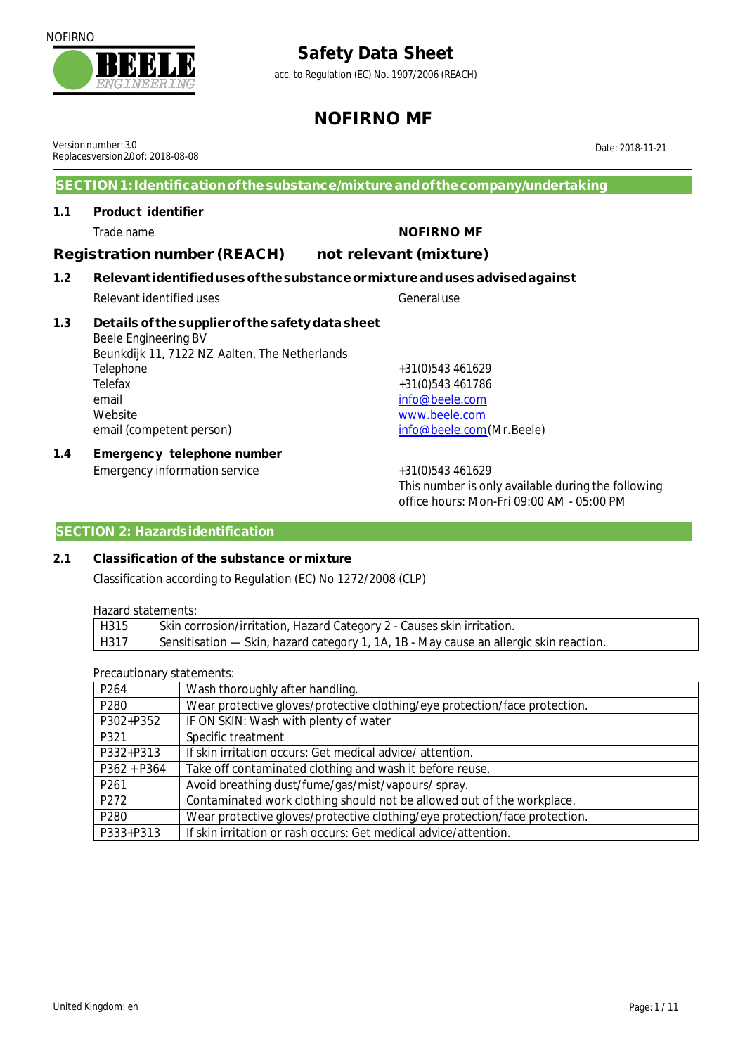acc. to Regulation (EC) No. 1907/2006 (REACH)

### **NOFIRNO MF**

Versionnumber: 3.0 Replacesversion 20 of: 2018-08-08

**1.1 Product identifier**

**SECTION 1:Identificationof thesubstance/mixtureandof thecompany/undertaking**

### Trade name **NOFIRNO MF Registration number (REACH) not relevant (mixture)**

- **1.2 Relevant identifiedusesof thesubstanceormixtureandusesadvisedagainst**
- Relevant identified uses Generaluse **1.3 Details of thesupplier of the safety data sheet**
	- Beele Engineering BV Beunkdijk 11, 7122 NZ Aalten, The Netherlands Telephone +31(0)543 461629 Telefax +31(0)543 461786 email info@beele.com Website [www.beele.com](http://www.beele.com) email (competent person) [info@beele.com](mailto:info@beele.com)(Mr.Beele)
- **1.4 Emergency telephone number** Emergency information service  $+31(0)543461629$

This number is only available during the following office hours: Mon-Fri 09:00 AM - 05:00 PM

### **SECTION 2: Hazardsidentification**

### **2.1 Classification of the substance or mixture**

Classification according to Regulation (EC) No 1272/2008 (CLP)

Hazard statements:

| 1192919319101101137  |                                                                                        |  |
|----------------------|----------------------------------------------------------------------------------------|--|
| $ $ H <sub>315</sub> | Skin corrosion/irritation, Hazard Category 2 - Causes skin irritation.                 |  |
| H317                 | Sensitisation — Skin, hazard category 1, 1A, 1B - May cause an allergic skin reaction. |  |

Precautionary statements:

| P <sub>264</sub> | Wash thoroughly after handling.                                            |
|------------------|----------------------------------------------------------------------------|
| P <sub>280</sub> | Wear protective gloves/protective clothing/eye protection/face protection. |
| P302+P352        | IF ON SKIN: Wash with plenty of water                                      |
| P321             | Specific treatment                                                         |
| P332+P313        | If skin irritation occurs: Get medical advice/attention.                   |
| $P362 + P364$    | Take off contaminated clothing and wash it before reuse.                   |
| P <sub>261</sub> | Avoid breathing dust/fume/gas/mist/vapours/spray.                          |
| P272             | Contaminated work clothing should not be allowed out of the workplace.     |
| P <sub>280</sub> | Wear protective gloves/protective clothing/eye protection/face protection. |
| P333+P313        | If skin irritation or rash occurs: Get medical advice/attention.           |



Date: 2018-11-21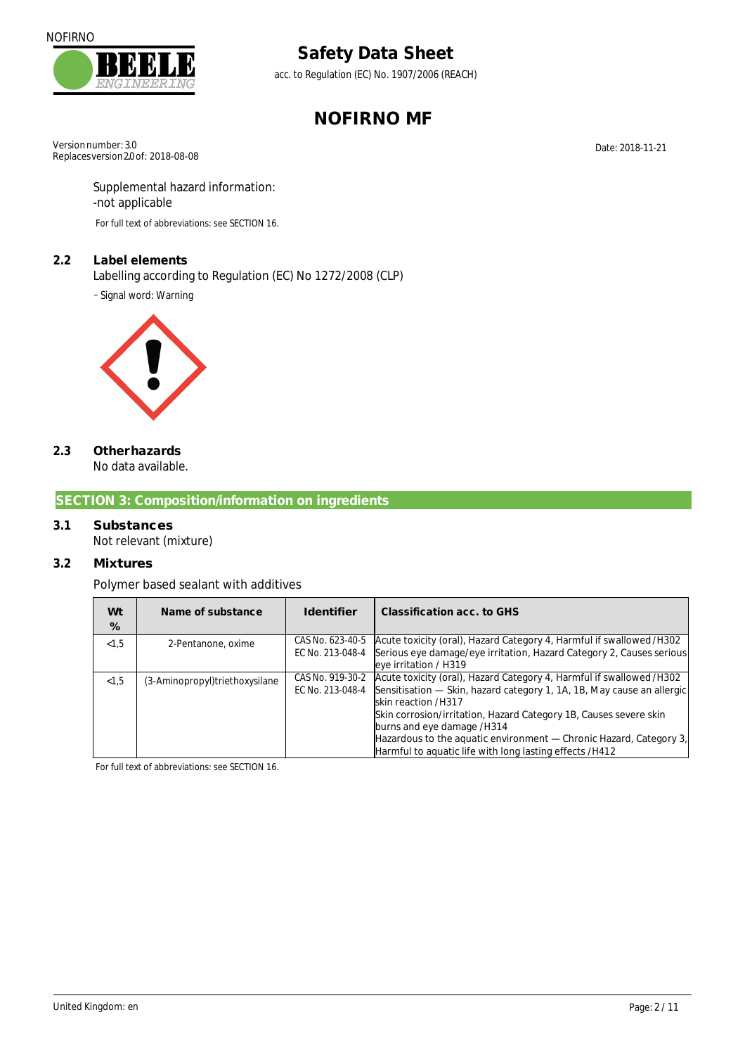

acc. to Regulation (EC) No. 1907/2006 (REACH)

# **NOFIRNO MF**

Versionnumber: 3.0 Replaces version 20 of: 2018-08-08

Date: 2018-11-21

#### Supplemental hazard information: -not applicable

For full text of abbreviations: see SECTION 16.

### **2.2 Label elements**

Labelling according to Regulation (EC) No 1272/2008 (CLP)

- Signal word: Warning



#### **2.3 Otherhazards** No data available.

### **SECTION 3: Composition/information on ingredients**

# **3.1 Substances**

Not relevant (mixture)

### **3.2 Mixtures**

Polymer based sealant with additives

| Wt<br>% | Name of substance              | <b>Identifier</b>                    | Classification acc. to GHS                                                                                                                                                                                                                                                                                                                                                                               |
|---------|--------------------------------|--------------------------------------|----------------------------------------------------------------------------------------------------------------------------------------------------------------------------------------------------------------------------------------------------------------------------------------------------------------------------------------------------------------------------------------------------------|
| < 1.5   | 2-Pentanone, oxime             | CAS No. 623-40-5<br>EC No. 213-048-4 | Acute toxicity (oral), Hazard Category 4, Harmful if swallowed/H302<br>Serious eye damage/eye irritation, Hazard Category 2, Causes serious<br>eye irritation / H319                                                                                                                                                                                                                                     |
| < 1.5   | (3-Aminopropyl)triethoxysilane | CAS No. 919-30-2<br>EC No. 213-048-4 | Acute toxicity (oral), Hazard Category 4, Harmful if swallowed/H302<br>Sensitisation — Skin, hazard category 1, 1A, 1B, May cause an allergic<br>skin reaction /H317<br>Skin corrosion/irritation, Hazard Category 1B, Causes severe skin<br>burns and eye damage /H314<br>Hazardous to the aquatic environment — Chronic Hazard, Category 3,<br>Harmful to aguatic life with long lasting effects /H412 |

For full text of abbreviations: see SECTION 16.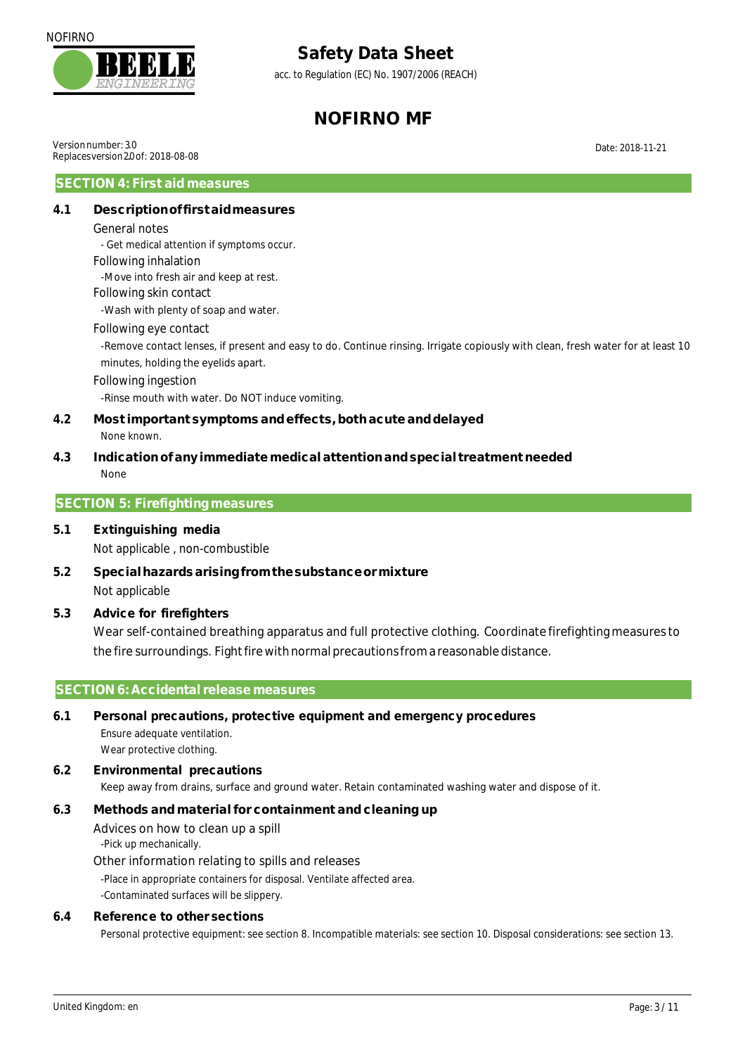

acc. to Regulation (EC) No. 1907/2006 (REACH)

# **NOFIRNO MF**

Versionnumber: 3.0 Replacesversion 20 of: 2018-08-08

Date: 2018-11-21

### **SECTION 4: First aid measures**

### **4.1 Descriptionoffirstaidmeasures**

General notes

- Get medical attention if symptoms occur.

#### Following inhalation

-Move into fresh air and keep at rest.

#### Following skin contact

-Wash with plenty of soap and water.

#### Following eye contact

-Remove contact lenses, if present and easy to do. Continue rinsing. Irrigate copiously with clean, fresh water for at least 10 minutes, holding the eyelids apart.

#### Following ingestion

-Rinse mouth with water. Do NOT induce vomiting.

#### **4.2 Most important symptoms and effects,bothacuteanddelayed** None known.

**4.3 Indicationofany immediatemedicalattentionandspecial treatment needed** None

#### **SECTION 5: Firefighting measures**

- **5.1 Extinguishing media** Not applicable , non-combustible
- **5.2 Specialhazardsarisingfromthesubstanceormixture** Not applicable
- **5.3 Advice for firefighters**

Wear self-contained breathing apparatus and full protective clothing. Coordinate firefightingmeasuresto the fire surroundings. Fight fire with normal precautions from a reasonable distance.

#### **SECTION 6: Accidental release measures**

### **6.1 Personal precautions, protective equipment and emergency procedures** Ensure adequate ventilation.

Wear protective clothing.

**6.2 Environmental precautions** Keep away from drains, surface and ground water. Retain contaminated washing water and dispose of it.

#### **6.3 Methods and material for containment and cleaning up**

Advices on how to clean up a spill -Pick up mechanically.

#### Other information relating to spills and releases

-Place in appropriate containers for disposal. Ventilate affected area.

-Contaminated surfaces will be slippery.

#### **6.4 Reference to other sections**

Personal protective equipment: see section 8. Incompatible materials: see section 10. Disposal considerations: see section 13.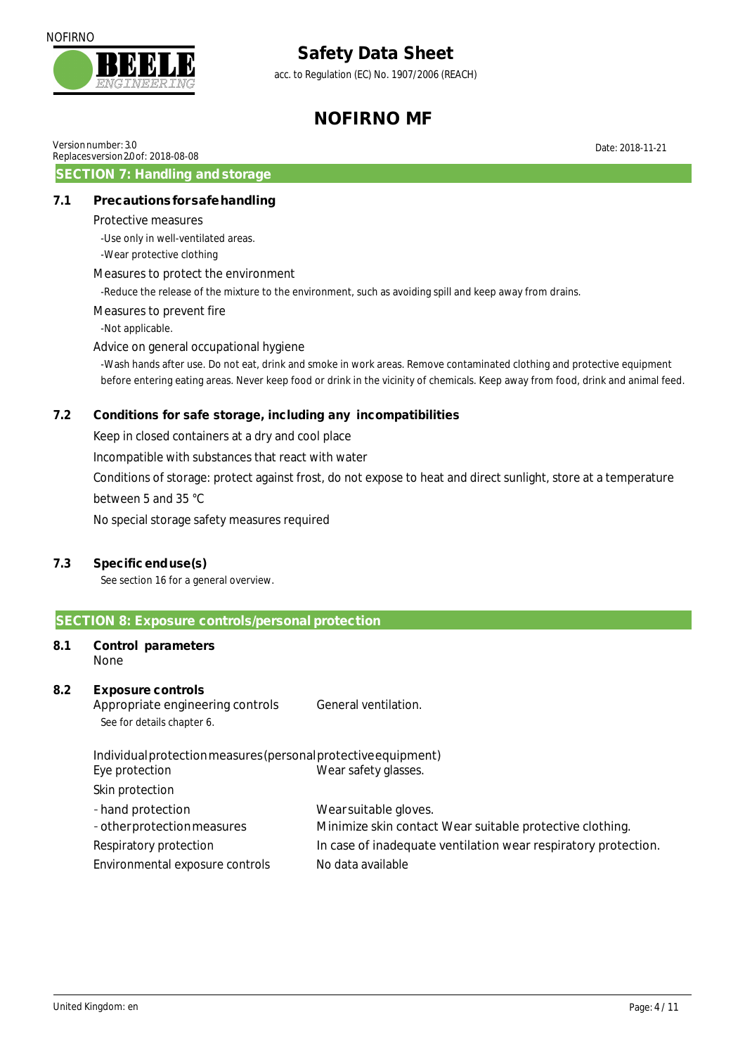

acc. to Regulation (EC) No. 1907/2006 (REACH)

# **NOFIRNO MF**

Date: 2018-11-21

|  | Version number: 3.0 |  |
|--|---------------------|--|
|  |                     |  |

Replacesversion 20 of: 2018-08-08 **SECTION 7: Handling and storage**

### **7.1 Precautionsforsafehandling**

Protective measures

-Use only in well-ventilated areas.

-Wear protective clothing

#### Measures to protect the environment

-Reduce the release of the mixture to the environment, such as avoiding spill and keep away from drains.

#### Measures to prevent fire

-Not applicable.

#### Advice on general occupational hygiene

-Wash hands after use. Do not eat, drink and smoke in work areas. Remove contaminated clothing and protective equipment before entering eating areas. Never keep food or drink in the vicinity of chemicals. Keep away from food, drink and animal feed.

### **7.2 Conditions for safe storage, including any incompatibilities**

Keep in closed containers at a dry and cool place

Incompatible with substances that react with water

Conditions of storage: protect against frost, do not expose to heat and direct sunlight, store at a temperature between 5 and 35 °C

No special storage safety measures required

#### **7.3 Specificenduse(s)**

See section 16 for a general overview.

#### **SECTION 8: Exposure controls/personal protection**

**8.1 Control parameters** None

#### **8.2 Exposure controls** Appropriate engineering controls General ventilation. See for details chapter 6.

Individualprotectionmeasures(personalprotectiveequipment) Eye protection Wear safety glasses. Skin protection

| - hand protection               | Wear suitable gloves.                                          |
|---------------------------------|----------------------------------------------------------------|
| - other protection measures     | Minimize skin contact Wear suitable protective clothing.       |
| Respiratory protection          | In case of inadequate ventilation wear respiratory protection. |
| Environmental exposure controls | No data available                                              |
|                                 |                                                                |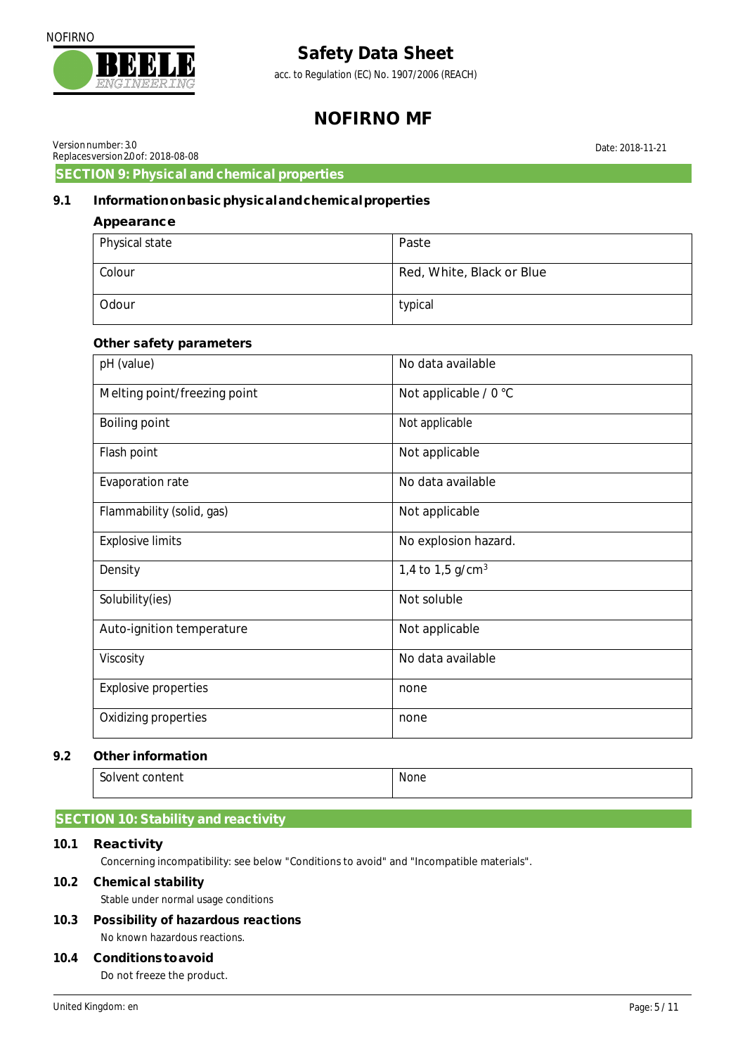

acc. to Regulation (EC) No. 1907/2006 (REACH)

## **NOFIRNO MF**

Date: 2018-11-21

Versionnumber: 3.0 Replacesversion 20 of: 2018-08-08

**SECTION 9: Physical and chemical properties**

### **9.1 Informationonbasicphysicalandchemicalproperties**

| Appearance     |                           |
|----------------|---------------------------|
| Physical state | Paste                     |
| Colour         | Red, White, Black or Blue |
| Odour          | typical                   |

#### **Other safety parameters**

| pH (value)                   | No data available     |
|------------------------------|-----------------------|
| Melting point/freezing point | Not applicable / 0 °C |
| <b>Boiling point</b>         | Not applicable        |
| Flash point                  | Not applicable        |
| <b>Evaporation rate</b>      | No data available     |
| Flammability (solid, gas)    | Not applicable        |
| <b>Explosive limits</b>      | No explosion hazard.  |
| Density                      | 1,4 to 1,5 $g/cm3$    |
| Solubility(ies)              | Not soluble           |
| Auto-ignition temperature    | Not applicable        |
| Viscosity                    | No data available     |
| <b>Explosive properties</b>  | none                  |
| <b>Oxidizing properties</b>  | none                  |

#### **9.2 Other information**

| Solvent content | None |
|-----------------|------|
|                 |      |

### **SECTION 10: Stability and reactivity**

#### **10.1 Reactivity**

Concerning incompatibility: see below "Conditions to avoid" and "Incompatible materials".

#### **10.2 Chemical stability**

Stable under normal usage conditions

**10.3 Possibility of hazardous reactions** No known hazardous reactions.

#### **10.4 Conditionstoavoid**

Do not freeze the product.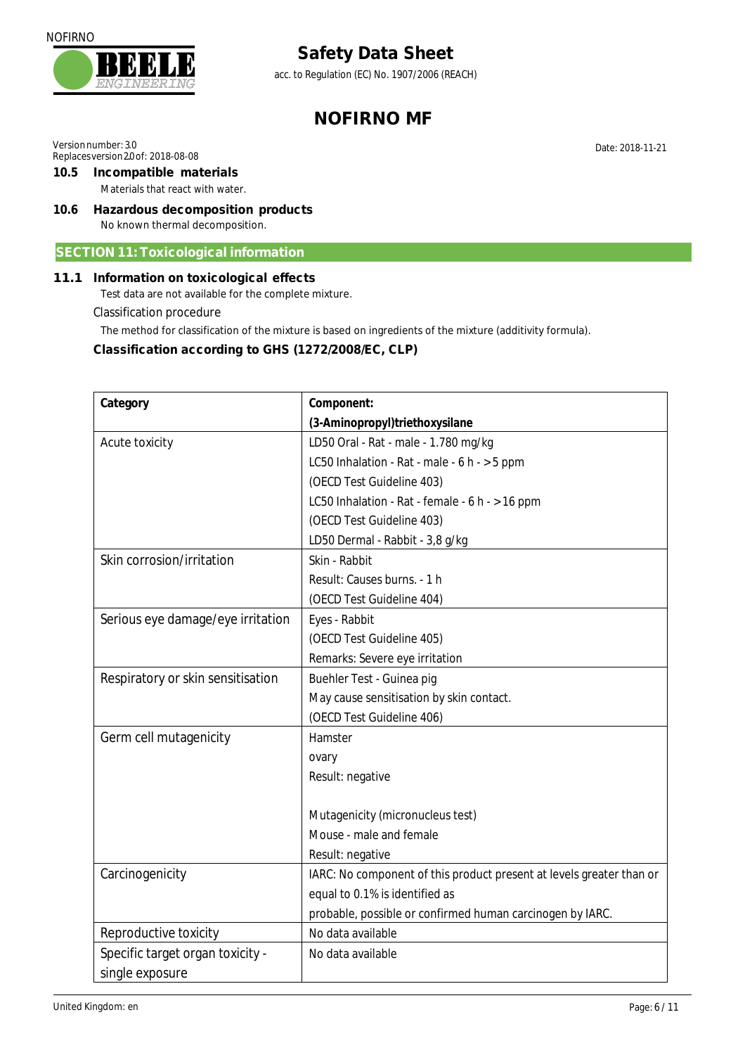

acc. to Regulation (EC) No. 1907/2006 (REACH)

# **NOFIRNO MF**

Versionnumber: 3.0

- Replaces version 20 of: 2018-08-08 **10.5 Incompatible materials** Materials that react with water.
- **10.6 Hazardous decomposition products** No known thermal decomposition.

### **SECTION 11: Toxicological information**

### **11.1 Information on toxicological effects**

Test data are not available for the complete mixture.

Classification procedure

The method for classification of the mixture is based on ingredients of the mixture (additivity formula).

**Classification according to GHS (1272/2008/EC, CLP)** 

| Category                          | Component:                                                           |
|-----------------------------------|----------------------------------------------------------------------|
|                                   | (3-Aminopropyl)triethoxysilane                                       |
| Acute toxicity                    | LD50 Oral - Rat - male - 1.780 mg/kg                                 |
|                                   | LC50 Inhalation - Rat - male - 6 h - > 5 ppm                         |
|                                   | (OECD Test Guideline 403)                                            |
|                                   | LC50 Inhalation - Rat - female - 6 h - > 16 ppm                      |
|                                   | (OECD Test Guideline 403)                                            |
|                                   | LD50 Dermal - Rabbit - 3,8 g/kg                                      |
| Skin corrosion/irritation         | Skin - Rabbit                                                        |
|                                   | Result: Causes burns. - 1 h                                          |
|                                   | (OECD Test Guideline 404)                                            |
| Serious eye damage/eye irritation | Eyes - Rabbit                                                        |
|                                   | (OECD Test Guideline 405)                                            |
|                                   | Remarks: Severe eye irritation                                       |
| Respiratory or skin sensitisation | Buehler Test - Guinea pig                                            |
|                                   | May cause sensitisation by skin contact.                             |
|                                   | (OECD Test Guideline 406)                                            |
| Germ cell mutagenicity            | Hamster                                                              |
|                                   | ovary                                                                |
|                                   | Result: negative                                                     |
|                                   |                                                                      |
|                                   | Mutagenicity (micronucleus test)                                     |
|                                   | Mouse - male and female                                              |
|                                   | Result: negative                                                     |
| Carcinogenicity                   | IARC: No component of this product present at levels greater than or |
|                                   | equal to 0.1% is identified as                                       |
|                                   | probable, possible or confirmed human carcinogen by IARC.            |
| Reproductive toxicity             | No data available                                                    |
| Specific target organ toxicity -  | No data available                                                    |
| single exposure                   |                                                                      |

Date: 2018-11-21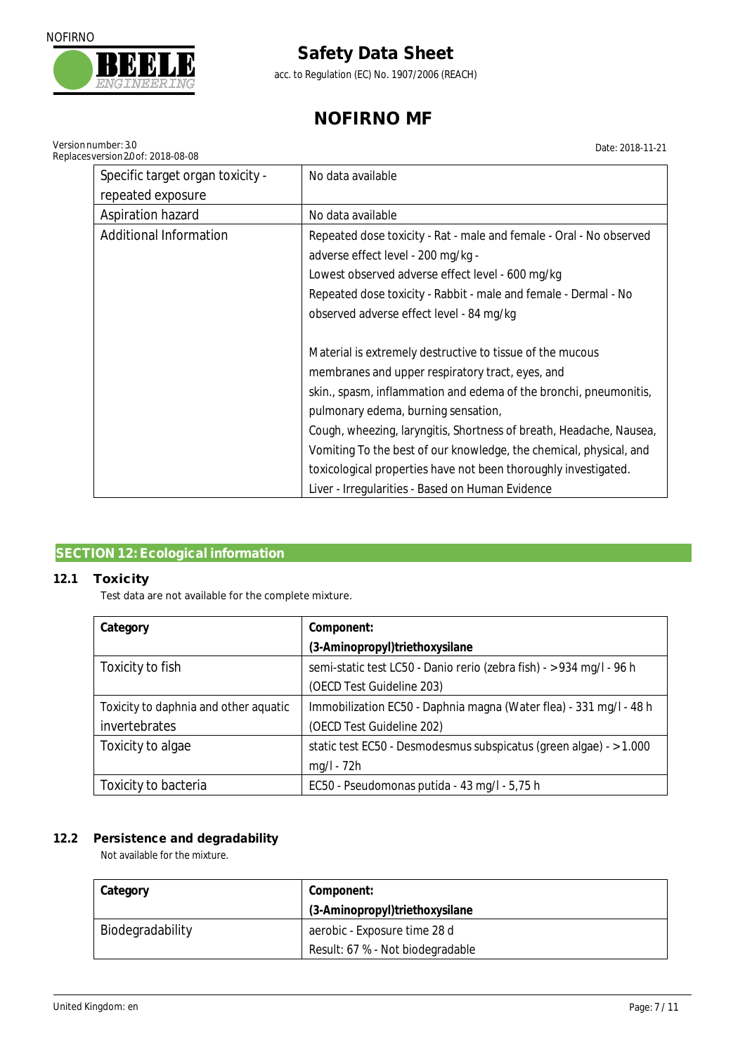

Versionnumber: 3.0

# **Safety Data Sheet**

acc. to Regulation (EC) No. 1907/2006 (REACH)

# **NOFIRNO MF**

Date: 2018-11-21

| Replaces version 20 of: 2018-08-08 | ו שיווייטו שגבו                                                     |
|------------------------------------|---------------------------------------------------------------------|
| Specific target organ toxicity -   | No data available                                                   |
| repeated exposure                  |                                                                     |
| <b>Aspiration hazard</b>           | No data available                                                   |
| <b>Additional Information</b>      | Repeated dose toxicity - Rat - male and female - Oral - No observed |
|                                    | adverse effect level - 200 mg/kg -                                  |
|                                    | Lowest observed adverse effect level - 600 mg/kg                    |
|                                    | Repeated dose toxicity - Rabbit - male and female - Dermal - No     |
|                                    | observed adverse effect level - 84 mg/kg                            |
|                                    |                                                                     |
|                                    | Material is extremely destructive to tissue of the mucous           |
|                                    | membranes and upper respiratory tract, eyes, and                    |
|                                    | skin., spasm, inflammation and edema of the bronchi, pneumonitis,   |
|                                    | pulmonary edema, burning sensation,                                 |
|                                    | Cough, wheezing, laryngitis, Shortness of breath, Headache, Nausea, |
|                                    | Vomiting To the best of our knowledge, the chemical, physical, and  |
|                                    | toxicological properties have not been thoroughly investigated.     |
|                                    | Liver - Irregularities - Based on Human Evidence                    |

### **SECTION 12: Ecological information**

### **12.1 Toxicity**

Test data are not available for the complete mixture.

| Category                              | Component:                                                           |
|---------------------------------------|----------------------------------------------------------------------|
|                                       | (3-Aminopropyl)triethoxysilane                                       |
| Toxicity to fish                      | semi-static test LC50 - Danio rerio (zebra fish) - > 934 mg/l - 96 h |
|                                       | (OECD Test Guideline 203)                                            |
| Toxicity to daphnia and other aquatic | Immobilization EC50 - Daphnia magna (Water flea) - 331 mg/l - 48 h   |
| invertebrates                         | (OECD Test Guideline 202)                                            |
| Toxicity to algae                     | static test EC50 - Desmodesmus subspicatus (green algae) - > 1.000   |
|                                       | $mg/l - 72h$                                                         |
| Toxicity to bacteria                  | EC50 - Pseudomonas putida - 43 mg/l - 5,75 h                         |

### **12.2 Persistence and degradability**

Not available for the mixture.

| Category         | Component:                       |
|------------------|----------------------------------|
|                  | (3-Aminopropyl)triethoxysilane   |
| Biodegradability | aerobic - Exposure time 28 d     |
|                  | Result: 67 % - Not biodegradable |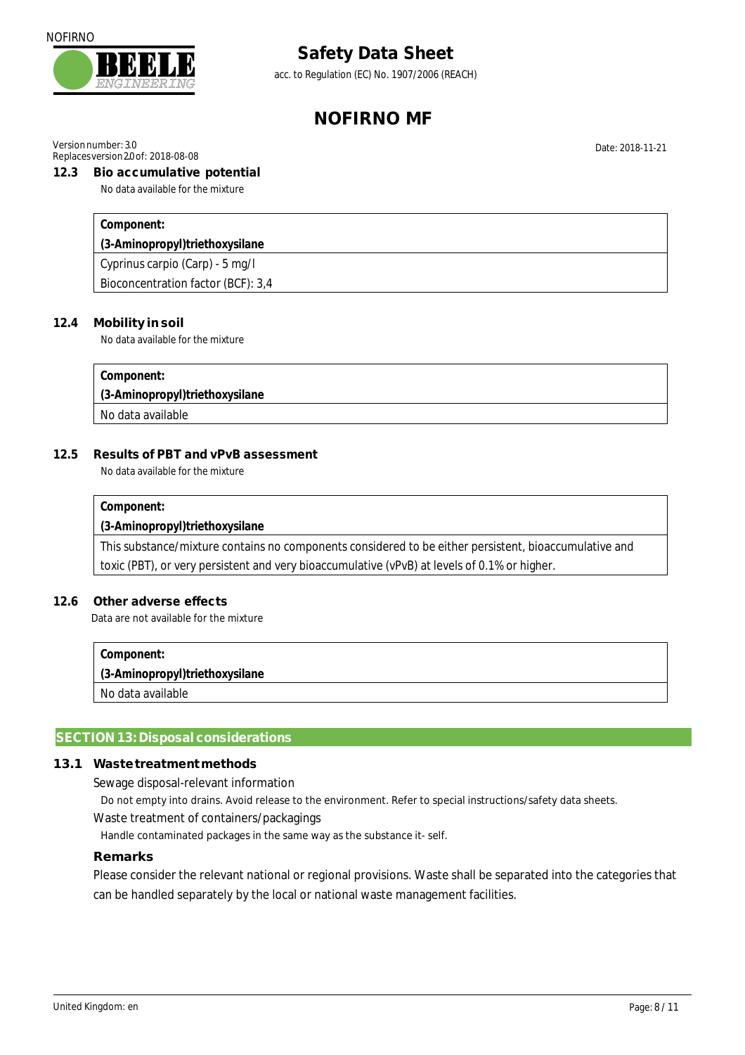

acc. to Regulation (EC) No. 1907/2006 (REACH)

## **NOFIRNO MF**

Versionnumber: 3.0

#### Replacesversion 20 of: 2018-08-08 **12.3 Bio accumulative potential**

No data available for the mixture

**Component:** 

**(3-Aminopropyl)triethoxysilane** 

Cyprinus carpio (Carp) - 5 mg/l

Bioconcentration factor (BCF): 3,4

#### **12.4 Mobility in soil**

No data available for the mixture

**Component:** 

**(3-Aminopropyl)triethoxysilane** 

No data available

#### **12.5 Results of PBT and vPvB assessment**

No data available for the mixture

#### **Component:**

**(3-Aminopropyl)triethoxysilane** 

This substance/mixture contains no components considered to be either persistent, bioaccumulative and toxic (PBT), or very persistent and very bioaccumulative (vPvB) at levels of 0.1% or higher.

#### **12.6 Other adverse effects**

Data are not available for the mixture

**Component: (3-Aminopropyl)triethoxysilane**  No data available

#### **SECTION 13: Disposal considerations**

#### **13.1 Wastetreatmentmethods**

Sewage disposal-relevant information

Do not empty into drains. Avoid release to the environment. Refer to special instructions/safety data sheets.

#### Waste treatment of containers/packagings

Handle contaminated packages in the same way as the substance it- self.

#### **Remarks**

Please consider the relevant national or regional provisions. Waste shall be separated into the categories that can be handled separately by the local or national waste management facilities.

Date: 2018-11-21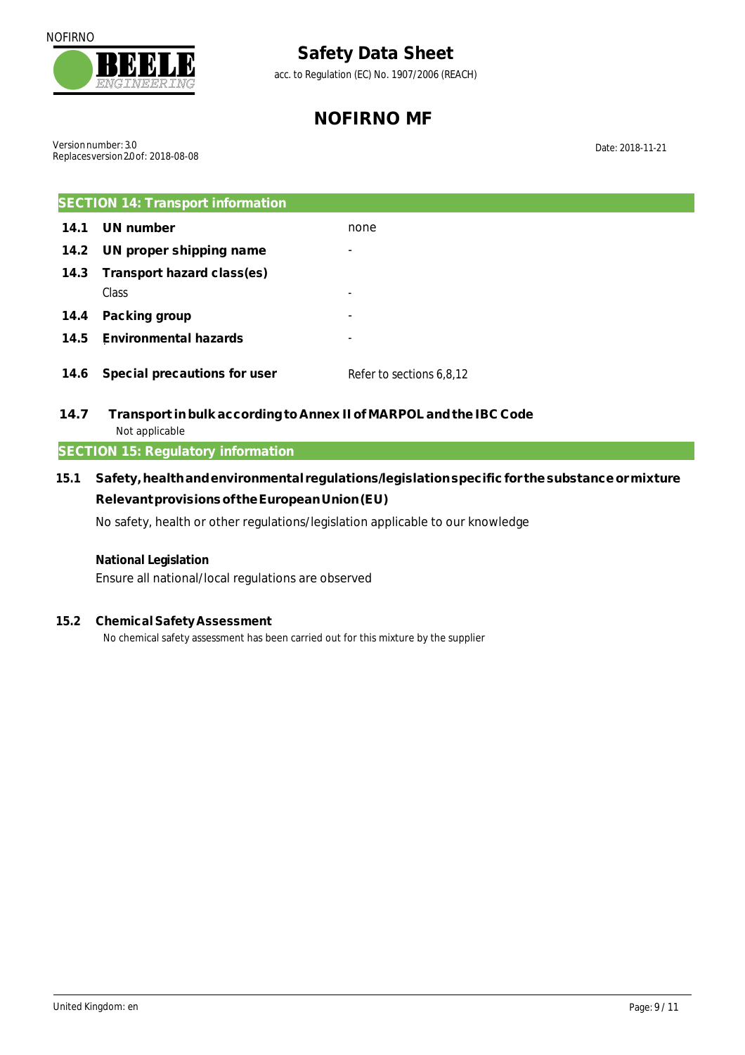

acc. to Regulation (EC) No. 1907/2006 (REACH)

# **NOFIRNO MF**

Versionnumber: 3.0 Replacesversion 20 of: 2018-08-08

Date: 2018-11-21

| <b>SECTION 14: Transport information</b> |                              |                          |
|------------------------------------------|------------------------------|--------------------------|
| 14.1                                     | UN number                    | none                     |
| 14.2                                     | UN proper shipping name      | -                        |
| 14.3                                     | Transport hazard class(es)   |                          |
|                                          | Class                        | ۰                        |
| 14.4                                     | Packing group                | ۰                        |
| 14.5                                     | <b>Environmental hazards</b> | ۰                        |
| 14.6                                     | Special precautions for user | Refer to sections 6,8,12 |

**14.7 Transport in bulk accordingto Annex II of MARPOL andthe IBC Code** Not applicable

### **SECTION 15: Regulatory information**

**15.1 Safety,healthandenvironmental regulations/legislationspecificfor thesubstanceormixture Relevantprovisionsof theEuropeanUnion(EU)**  No safety, health or other regulations/legislation applicable to our knowledge

**National Legislation**  Ensure all national/local regulations are observed

### **15.2 Chemical Safety Assessment**

No chemical safety assessment has been carried out for this mixture by the supplier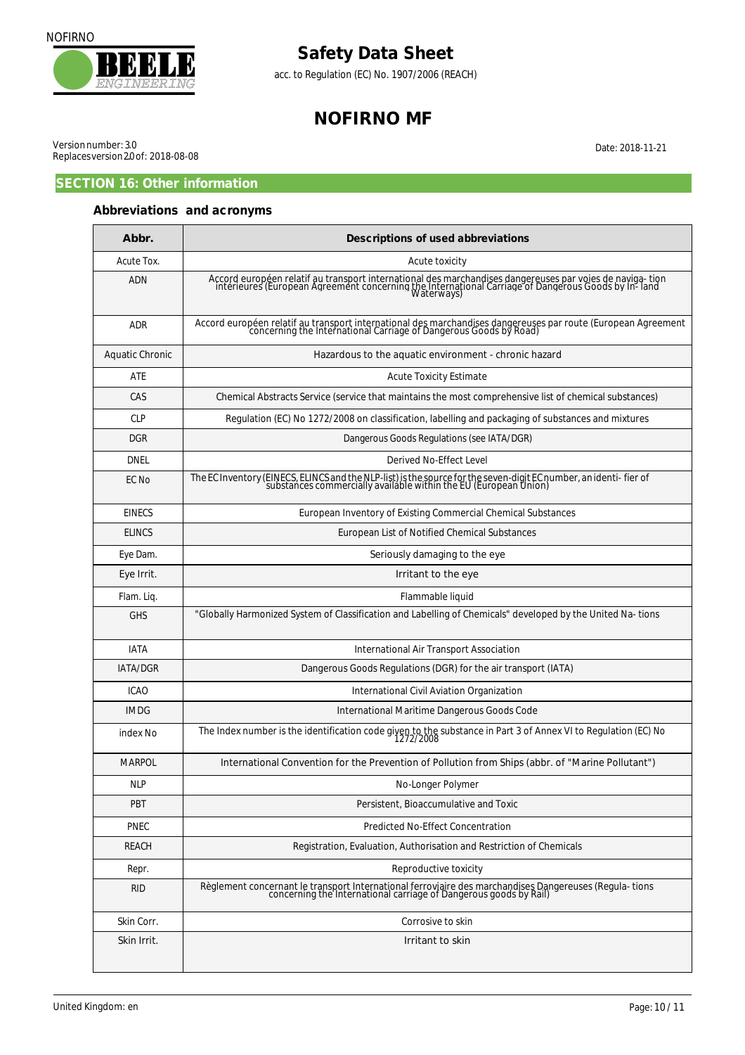



acc. to Regulation (EC) No. 1907/2006 (REACH)

# **NOFIRNO MF**

Date: 2018-11-21

Versionnumber: 3.0 Replacesversion 20 of: 2018-08-08

### **SECTION 16: Other information**

### **Abbreviations and acronyms**

| Abbr.                  | Descriptions of used abbreviations                                                                                                                                                                                            |
|------------------------|-------------------------------------------------------------------------------------------------------------------------------------------------------------------------------------------------------------------------------|
| Acute Tox.             | Acute toxicity                                                                                                                                                                                                                |
| <b>ADN</b>             | Accord européen relatif au transport international des marchandises dangereuses par voies de naviga-tion<br>intérieures (European Agreement concerning the International Carriage of Dangerous Goods by In-land<br>Waterways) |
| <b>ADR</b>             | Accord européen relatif au transport international des marchandises dangereuses par route (European Agreement<br>concerning the International Carriage of Dangerous Goods by Road)                                            |
| <b>Aquatic Chronic</b> | Hazardous to the aquatic environment - chronic hazard                                                                                                                                                                         |
| <b>ATE</b>             | <b>Acute Toxicity Estimate</b>                                                                                                                                                                                                |
| CAS                    | Chemical Abstracts Service (service that maintains the most comprehensive list of chemical substances)                                                                                                                        |
| <b>CLP</b>             | Regulation (EC) No 1272/2008 on classification, labelling and packaging of substances and mixtures                                                                                                                            |
| <b>DGR</b>             | Dangerous Goods Regulations (see IATA/DGR)                                                                                                                                                                                    |
| DNEL                   | Derived No-Effect Level                                                                                                                                                                                                       |
| EC No                  | The EC Inventory (EINECS, ELINCS and the NLP-list) is the source for the seven-digit EC number, an identi-fier of<br>substances commercially available within the EU (European Union)                                         |
| <b>EINECS</b>          | European Inventory of Existing Commercial Chemical Substances                                                                                                                                                                 |
| <b>ELINCS</b>          | European List of Notified Chemical Substances                                                                                                                                                                                 |
| Eye Dam.               | Seriously damaging to the eye                                                                                                                                                                                                 |
| Eye Irrit.             | Irritant to the eye                                                                                                                                                                                                           |
| Flam. Liq.             | Flammable liquid                                                                                                                                                                                                              |
| <b>GHS</b>             | "Globally Harmonized System of Classification and Labelling of Chemicals" developed by the United Na-tions                                                                                                                    |
| <b>IATA</b>            | International Air Transport Association                                                                                                                                                                                       |
| IATA/DGR               | Dangerous Goods Regulations (DGR) for the air transport (IATA)                                                                                                                                                                |
| <b>ICAO</b>            | International Civil Aviation Organization                                                                                                                                                                                     |
| <b>IMDG</b>            | International Maritime Dangerous Goods Code                                                                                                                                                                                   |
| index No               | The Index number is the identification code given to the substance in Part 3 of Annex VI to Regulation (EC) No<br>1272/2008                                                                                                   |
| <b>MARPOL</b>          | International Convention for the Prevention of Pollution from Ships (abbr. of "Marine Pollutant")                                                                                                                             |
| NLP                    | No-Longer Polymer                                                                                                                                                                                                             |
| <b>PBT</b>             | Persistent, Bioaccumulative and Toxic                                                                                                                                                                                         |
| <b>PNEC</b>            | Predicted No-Effect Concentration                                                                                                                                                                                             |
| REACH                  | Registration, Evaluation, Authorisation and Restriction of Chemicals                                                                                                                                                          |
| Repr.                  | Reproductive toxicity                                                                                                                                                                                                         |
| rid                    | Règlement concernant le transport International ferroviaire des marchandises Dangereuses (Regula-tions<br>concerning the International carriage of Dangerous goods by Rail)                                                   |
| Skin Corr.             | Corrosive to skin                                                                                                                                                                                                             |
| Skin Irrit.            | Irritant to skin                                                                                                                                                                                                              |